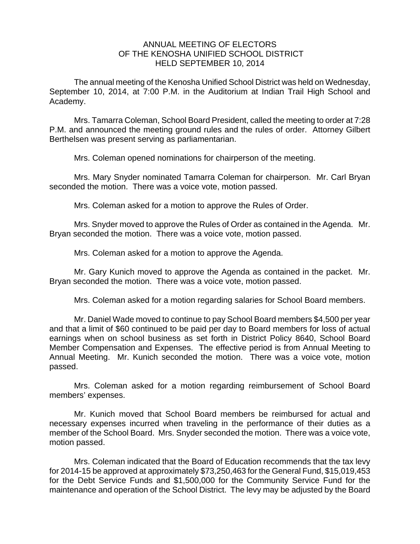## ANNUAL MEETING OF ELECTORS OF THE KENOSHA UNIFIED SCHOOL DISTRICT HELD SEPTEMBER 10, 2014

The annual meeting of the Kenosha Unified School District was held on Wednesday, September 10, 2014, at 7:00 P.M. in the Auditorium at Indian Trail High School and Academy.

Mrs. Tamarra Coleman, School Board President, called the meeting to order at 7:28 P.M. and announced the meeting ground rules and the rules of order. Attorney Gilbert Berthelsen was present serving as parliamentarian.

Mrs. Coleman opened nominations for chairperson of the meeting.

Mrs. Mary Snyder nominated Tamarra Coleman for chairperson. Mr. Carl Bryan seconded the motion. There was a voice vote, motion passed.

Mrs. Coleman asked for a motion to approve the Rules of Order.

Mrs. Snyder moved to approve the Rules of Order as contained in the Agenda. Mr. Bryan seconded the motion. There was a voice vote, motion passed.

Mrs. Coleman asked for a motion to approve the Agenda.

 Mr. Gary Kunich moved to approve the Agenda as contained in the packet. Mr. Bryan seconded the motion. There was a voice vote, motion passed.

Mrs. Coleman asked for a motion regarding salaries for School Board members.

Mr. Daniel Wade moved to continue to pay School Board members \$4,500 per year and that a limit of \$60 continued to be paid per day to Board members for loss of actual earnings when on school business as set forth in District Policy 8640, School Board Member Compensation and Expenses. The effective period is from Annual Meeting to Annual Meeting. Mr. Kunich seconded the motion. There was a voice vote, motion passed.

 Mrs. Coleman asked for a motion regarding reimbursement of School Board members' expenses.

Mr. Kunich moved that School Board members be reimbursed for actual and necessary expenses incurred when traveling in the performance of their duties as a member of the School Board. Mrs. Snyder seconded the motion. There was a voice vote, motion passed.

Mrs. Coleman indicated that the Board of Education recommends that the tax levy for 2014-15 be approved at approximately \$73,250,463 for the General Fund, \$15,019,453 for the Debt Service Funds and \$1,500,000 for the Community Service Fund for the maintenance and operation of the School District. The levy may be adjusted by the Board